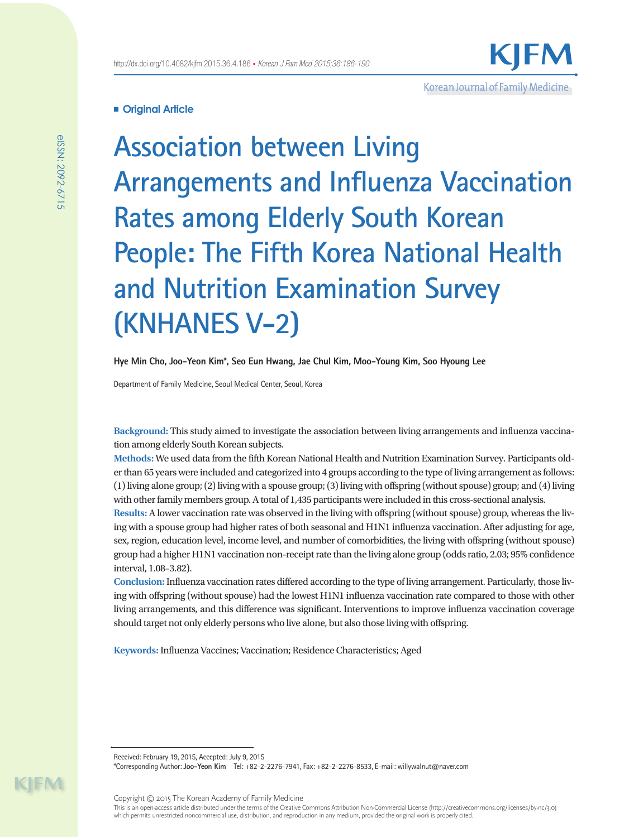

# **Original Article**

**Association between Living Arrangements and Influenza Vaccination Rates among Elderly South Korean People: The Fifth Korea National Health and Nutrition Examination Survey (KNHANES V-2)**

**Hye Min Cho, Joo-Yeon Kim\*, Seo Eun Hwang, Jae Chul Kim, Moo-Young Kim, Soo Hyoung Lee**

Department of Family Medicine, Seoul Medical Center, Seoul, Korea

**Background:** This study aimed to investigate the association between living arrangements and influenza vaccination among elderly South Korean subjects.

**Methods:** We used data from the fifth Korean National Health and Nutrition Examination Survey. Participants older than 65 years were included and categorized into 4 groups according to the type of living arrangement as follows: (1) living alone group; (2) living with a spouse group; (3) living with offspring (without spouse) group; and (4) living with other family members group. A total of 1,435 participants were included in this cross-sectional analysis.

**Results:** A lower vaccination rate was observed in the living with offspring (without spouse) group, whereas the living with a spouse group had higher rates of both seasonal and H1N1 influenza vaccination. After adjusting for age, sex, region, education level, income level, and number of comorbidities, the living with offspring (without spouse) group had a higher H1N1 vaccination non-receipt rate than the living alone group (odds ratio, 2.03; 95% confidence interval, 1.08–3.82).

**Conclusion:** Influenza vaccination rates differed according to the type of living arrangement. Particularly, those living with offspring (without spouse) had the lowest H1N1 influenza vaccination rate compared to those with other living arrangements, and this difference was significant. Interventions to improve influenza vaccination coverage should target not only elderly persons who live alone, but also those living with offspring.

**Keywords:** Influenza Vaccines; Vaccination; Residence Characteristics; Aged

\*Corresponding Author: **Joo-Yeon Kim** Tel: +82-2-2276-7941, Fax: +82-2-2276-8533, E-mail: willywalnut@naver.com

Copyright © 2015 The Korean Academy of Family Medicine

This is an open-access article distributed under the terms of the Creative Commons Attribution Non-Commercial License (http://creativecommons.org/licenses/by-nc/3.0) which permits unrestricted noncommercial use, distribution, and reproduction in any medium, provided the original work is properly cited.

 $\mathsf{I}$  -  $\mathsf{M}$ 

Received: February 19, 2015, Accepted: July 9, 2015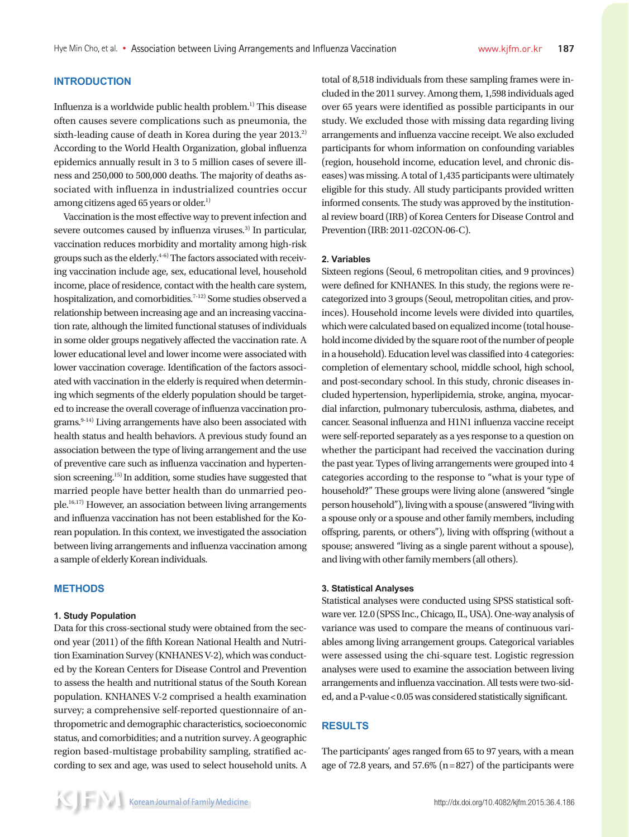### **INTRODUCTION**

Influenza is a worldwide public health problem.1) This disease often causes severe complications such as pneumonia, the sixth-leading cause of death in Korea during the year  $2013.<sup>2</sup>$ According to the World Health Organization, global influenza epidemics annually result in 3 to 5 million cases of severe illness and 250,000 to 500,000 deaths. The majority of deaths associated with influenza in industrialized countries occur among citizens aged 65 years or older.<sup>1)</sup>

Vaccination is the most effective way to prevent infection and severe outcomes caused by influenza viruses.<sup>3)</sup> In particular, vaccination reduces morbidity and mortality among high-risk groups such as the elderly. $4-6$ ) The factors associated with receiving vaccination include age, sex, educational level, household income, place of residence, contact with the health care system, hospitalization, and comorbidities.<sup>7-12)</sup> Some studies observed a relationship between increasing age and an increasing vaccination rate, although the limited functional statuses of individuals in some older groups negatively affected the vaccination rate. A lower educational level and lower income were associated with lower vaccination coverage. Identification of the factors associated with vaccination in the elderly is required when determining which segments of the elderly population should be targeted to increase the overall coverage of influenza vaccination programs.<sup>9-14)</sup> Living arrangements have also been associated with health status and health behaviors. A previous study found an association between the type of living arrangement and the use of preventive care such as influenza vaccination and hypertension screening.15) In addition, some studies have suggested that married people have better health than do unmarried people.16,17) However, an association between living arrangements and influenza vaccination has not been established for the Korean population. In this context, we investigated the association between living arrangements and influenza vaccination among a sample of elderly Korean individuals.

#### **METHODS**

#### **1. Study Population**

Data for this cross-sectional study were obtained from the second year (2011) of the fifth Korean National Health and Nutrition Examination Survey (KNHANES V-2), which was conducted by the Korean Centers for Disease Control and Prevention to assess the health and nutritional status of the South Korean population. KNHANES V-2 comprised a health examination survey; a comprehensive self-reported questionnaire of anthropometric and demographic characteristics, socioeconomic status, and comorbidities; and a nutrition survey. A geographic region based-multistage probability sampling, stratified according to sex and age, was used to select household units. A total of 8,518 individuals from these sampling frames were included in the 2011 survey. Among them, 1,598 individuals aged over 65 years were identified as possible participants in our study. We excluded those with missing data regarding living arrangements and influenza vaccine receipt. We also excluded participants for whom information on confounding variables (region, household income, education level, and chronic diseases) was missing. A total of 1,435 participants were ultimately eligible for this study. All study participants provided written informed consents. The study was approved by the institutional review board (IRB) of Korea Centers for Disease Control and Prevention (IRB: 2011-02CON-06-C).

#### **2. Variables**

Sixteen regions (Seoul, 6 metropolitan cities, and 9 provinces) were defined for KNHANES. In this study, the regions were recategorized into 3 groups (Seoul, metropolitan cities, and provinces). Household income levels were divided into quartiles, which were calculated based on equalized income (total household income divided by the square root of the number of people in a household). Education level was classified into 4 categories: completion of elementary school, middle school, high school, and post-secondary school. In this study, chronic diseases included hypertension, hyperlipidemia, stroke, angina, myocardial infarction, pulmonary tuberculosis, asthma, diabetes, and cancer. Seasonal influenza and H1N1 influenza vaccine receipt were self-reported separately as a yes response to a question on whether the participant had received the vaccination during the past year. Types of living arrangements were grouped into 4 categories according to the response to "what is your type of household?" These groups were living alone (answered "single person household"), living with a spouse (answered "living with a spouse only or a spouse and other family members, including offspring, parents, or others"), living with offspring (without a spouse; answered "living as a single parent without a spouse), and living with other family members (all others).

#### **3. Statistical Analyses**

Statistical analyses were conducted using SPSS statistical software ver. 12.0 (SPSS Inc., Chicago, IL, USA). One-way analysis of variance was used to compare the means of continuous variables among living arrangement groups. Categorical variables were assessed using the chi-square test. Logistic regression analyses were used to examine the association between living arrangements and influenza vaccination. All tests were two-sided, and a P-value < 0.05 was considered statistically significant.

#### **RESULTS**

The participants' ages ranged from 65 to 97 years, with a mean age of 72.8 years, and  $57.6\%$  (n = 827) of the participants were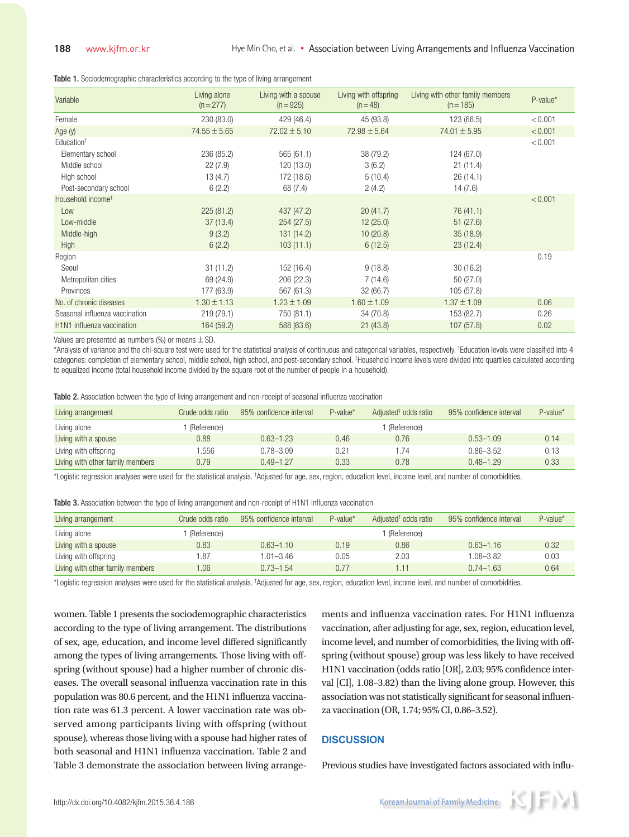Table 1. Sociodemographic characteristics according to the type of living arrangement

| Variable                       | Living alone<br>$(n=277)$ | Living with a spouse<br>$(n = 925)$ | Living with offspring<br>$(n = 48)$ | Living with other family members<br>$(n = 185)$ | P-value* |
|--------------------------------|---------------------------|-------------------------------------|-------------------------------------|-------------------------------------------------|----------|
| Female                         | 230 (83.0)                | 429 (46.4)                          | 45 (93.8)                           | 123 (66.5)                                      | < 0.001  |
| Age $(y)$                      | $74.55 \pm 5.65$          | $72.02 \pm 5.10$                    | $72.98 \pm 5.64$                    | $74.01 \pm 5.95$                                | < 0.001  |
| Education <sup>+</sup>         |                           |                                     |                                     |                                                 | < 0.001  |
| Elementary school              | 236 (85.2)                | 565(61.1)                           | 38 (79.2)                           | 124 (67.0)                                      |          |
| Middle school                  | 22(7.9)                   | 120 (13.0)                          | 3(6.2)                              | 21(11.4)                                        |          |
| High school                    | 13(4.7)                   | 172 (18.6)                          | 5(10.4)                             | 26(14.1)                                        |          |
| Post-secondary school          | 6(2.2)                    | 68 (7.4)                            | 2(4.2)                              | 14(7.6)                                         |          |
| Household income <sup>#</sup>  |                           |                                     |                                     |                                                 | < 0.001  |
| Low                            | 225(81.2)                 | 437 (47.2)                          | 20(41.7)                            | 76 (41.1)                                       |          |
| Low-middle                     | 37(13.4)                  | 254 (27.5)                          | 12(25.0)                            | 51(27.6)                                        |          |
| Middle-high                    | 9(3.2)                    | 131 (14.2)                          | 10(20.8)                            | 35(18.9)                                        |          |
| High                           | 6(2.2)                    | 103(11.1)                           | 6(12.5)                             | 23(12.4)                                        |          |
| Region                         |                           |                                     |                                     |                                                 | 0.19     |
| Seoul                          | 31(11.2)                  | 152 (16.4)                          | 9(18.8)                             | 30(16.2)                                        |          |
| Metropolitan cities            | 69 (24.9)                 | 206 (22.3)                          | 7(14.6)                             | 50(27.0)                                        |          |
| Provinces                      | 177 (63.9)                | 567 (61.3)                          | 32(66.7)                            | 105 (57.8)                                      |          |
| No. of chronic diseases        | $1.30 \pm 1.13$           | $1.23 \pm 1.09$                     | $1.60 \pm 1.09$                     | $1.37 \pm 1.09$                                 | 0.06     |
| Seasonal influenza vaccination | 219 (79.1)                | 750 (81.1)                          | 34 (70.8)                           | 153 (82.7)                                      | 0.26     |
| H1N1 influenza vaccination     | 164 (59.2)                | 588 (63.6)                          | 21(43.8)                            | 107(57.8)                                       | 0.02     |

Values are presented as numbers (%) or means  $\pm$  SD.

\*Analysis of variance and the chi-square test were used for the statistical analysis of continuous and categorical variables, respectively. † Education levels were classified into 4 categories: completion of elementary school, middle school, high school, and post-secondary school. <sup>‡</sup>Household income levels were divided into quartiles calculated according to equalized income (total household income divided by the square root of the number of people in a household).

Table 2. Association between the type of living arrangement and non-receipt of seasonal influenza vaccination

| Living arrangement               | Crude odds ratio | 95% confidence interval | $P-value*$ | Adjusted <sup>†</sup> odds ratio | 95% confidence interval | $P$ -value* |
|----------------------------------|------------------|-------------------------|------------|----------------------------------|-------------------------|-------------|
| Living alone                     | (Reference)      |                         |            | (Reference)                      |                         |             |
| Living with a spouse             | $0.88^{\circ}$   | $0.63 - 1.23$           | 0.46       | 0.76                             | $0.53 - 1.09$           | 0.14        |
| Living with offspring            | .556             | $0.78 - 3.09$           | 0.21       | .74                              | $0.86 - 3.52$           | 0.13        |
| Living with other family members | 0.79             | $0.49 - 1.27$           | 0.33       | 0.78                             | $0.48 - 1.29$           | 0.33        |

\*Logistic regression analyses were used for the statistical analysis. <sup>†</sup>Adjusted for age, sex, region, education level, income level, and number of comorbidities.

Table 3. Association between the type of living arrangement and non-receipt of H1N1 influenza vaccination

| Living arrangement               | Crude odds ratio | 95% confidence interval | $P$ -value* | Adjusted <sup>†</sup> odds ratio | 95% confidence interval | $P-value*$ |
|----------------------------------|------------------|-------------------------|-------------|----------------------------------|-------------------------|------------|
| Living alone                     | (Reference)      |                         |             | (Reference)                      |                         |            |
| Living with a spouse             | 0.83             | $0.63 - 1.10$           | 0.19        | 0.86                             | $0.63 - 1.16$           | 0.32       |
| Living with offspring            | . 87             | $1.01 - 3.46$           | 0.05        | 2.03                             | $1.08 - 3.82$           | 0.03       |
| Living with other family members | .06              | $0.73 - 1.54$           | 0.77        | 1.11                             | $0.74 - 1.63$           | 0.64       |

\*Logistic regression analyses were used for the statistical analysis. <sup>†</sup>Adjusted for age, sex, region, education level, income level, and number of comorbidities.

women. Table 1 presents the sociodemographic characteristics according to the type of living arrangement. The distributions of sex, age, education, and income level differed significantly among the types of living arrangements. Those living with offspring (without spouse) had a higher number of chronic diseases. The overall seasonal influenza vaccination rate in this population was 80.6 percent, and the H1N1 influenza vaccination rate was 61.3 percent. A lower vaccination rate was observed among participants living with offspring (without spouse), whereas those living with a spouse had higher rates of both seasonal and H1N1 influenza vaccination. Table 2 and Table 3 demonstrate the association between living arrange-

ments and influenza vaccination rates. For H1N1 influenza vaccination, after adjusting for age, sex, region, education level, income level, and number of comorbidities, the living with offspring (without spouse) group was less likely to have received H1N1 vaccination (odds ratio [OR], 2.03; 95% confidence interval [CI], 1.08–3.82) than the living alone group. However, this association was not statistically significant for seasonal influenza vaccination (OR, 1.74; 95% CI, 0.86–3.52).

#### **DISCUSSION**

Previous studies have investigated factors associated with influ-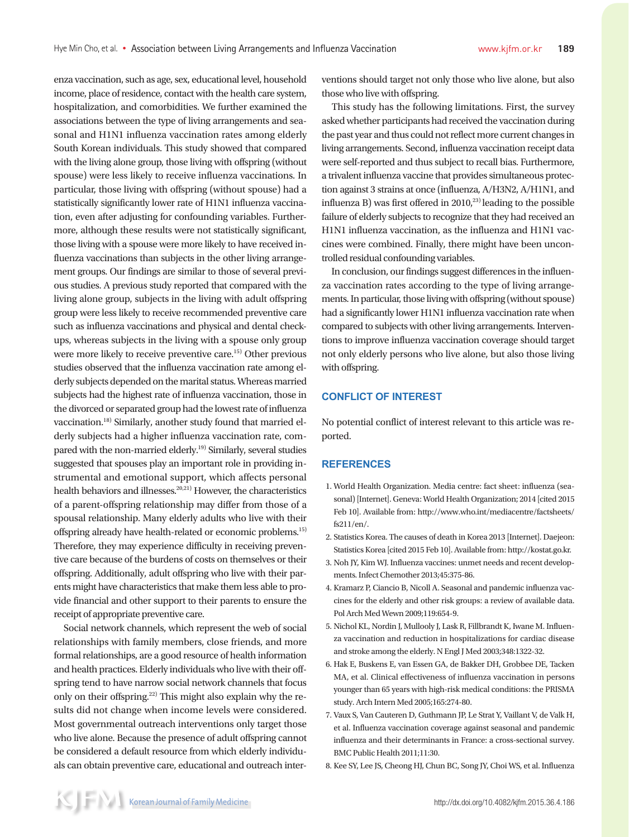enza vaccination, such as age, sex, educational level, household income, place of residence, contact with the health care system, hospitalization, and comorbidities. We further examined the associations between the type of living arrangements and seasonal and H1N1 influenza vaccination rates among elderly South Korean individuals. This study showed that compared with the living alone group, those living with offspring (without spouse) were less likely to receive influenza vaccinations. In particular, those living with offspring (without spouse) had a statistically significantly lower rate of H1N1 influenza vaccination, even after adjusting for confounding variables. Furthermore, although these results were not statistically significant, those living with a spouse were more likely to have received influenza vaccinations than subjects in the other living arrangement groups. Our findings are similar to those of several previous studies. A previous study reported that compared with the living alone group, subjects in the living with adult offspring group were less likely to receive recommended preventive care such as influenza vaccinations and physical and dental checkups, whereas subjects in the living with a spouse only group were more likely to receive preventive care.15) Other previous studies observed that the influenza vaccination rate among elderly subjects depended on the marital status. Whereas married subjects had the highest rate of influenza vaccination, those in the divorced or separated group had the lowest rate of influenza vaccination.18) Similarly, another study found that married elderly subjects had a higher influenza vaccination rate, compared with the non-married elderly.<sup>19)</sup> Similarly, several studies suggested that spouses play an important role in providing instrumental and emotional support, which affects personal health behaviors and illnesses. $20,21)$  However, the characteristics of a parent-offspring relationship may differ from those of a spousal relationship. Many elderly adults who live with their offspring already have health-related or economic problems.15) Therefore, they may experience difficulty in receiving preventive care because of the burdens of costs on themselves or their offspring. Additionally, adult offspring who live with their parents might have characteristics that make them less able to provide financial and other support to their parents to ensure the receipt of appropriate preventive care.

Social network channels, which represent the web of social relationships with family members, close friends, and more formal relationships, are a good resource of health information and health practices. Elderly individuals who live with their offspring tend to have narrow social network channels that focus only on their offspring.22) This might also explain why the results did not change when income levels were considered. Most governmental outreach interventions only target those who live alone. Because the presence of adult offspring cannot be considered a default resource from which elderly individuals can obtain preventive care, educational and outreach interventions should target not only those who live alone, but also those who live with offspring.

This study has the following limitations. First, the survey asked whether participants had received the vaccination during the past year and thus could not reflect more current changes in living arrangements. Second, influenza vaccination receipt data were self-reported and thus subject to recall bias. Furthermore, a trivalent influenza vaccine that provides simultaneous protection against 3 strains at once (influenza, A/H3N2, A/H1N1, and influenza B) was first offered in  $2010<sup>23</sup>$  leading to the possible failure of elderly subjects to recognize that they had received an H1N1 influenza vaccination, as the influenza and H1N1 vaccines were combined. Finally, there might have been uncontrolled residual confounding variables.

In conclusion, our findings suggest differences in the influenza vaccination rates according to the type of living arrangements. In particular, those living with offspring (without spouse) had a significantly lower H1N1 influenza vaccination rate when compared to subjects with other living arrangements. Interventions to improve influenza vaccination coverage should target not only elderly persons who live alone, but also those living with offspring.

## **CONFLICT OF INTEREST**

No potential conflict of interest relevant to this article was reported.

#### **REFERENCES**

- 1. World Health Organization. Media centre: fact sheet: influenza (seasonal) [Internet]. Geneva: World Health Organization; 2014 [cited 2015 Feb 10]. Available from: http://www.who.int/mediacentre/factsheets/ fs211/en/.
- 2. Statistics Korea. The causes of death in Korea 2013 [Internet]. Daejeon: Statistics Korea [cited 2015 Feb 10]. Available from: http://kostat.go.kr.
- 3. Noh JY, Kim WJ. Influenza vaccines: unmet needs and recent developments. Infect Chemother 2013;45:375-86.
- 4. Kramarz P, Ciancio B, Nicoll A. Seasonal and pandemic influenza vaccines for the elderly and other risk groups: a review of available data. Pol Arch Med Wewn 2009;119:654-9.
- 5. Nichol KL, Nordin J, Mullooly J, Lask R, Fillbrandt K, Iwane M. Influenza vaccination and reduction in hospitalizations for cardiac disease and stroke among the elderly. N Engl J Med 2003;348:1322-32.
- 6. Hak E, Buskens E, van Essen GA, de Bakker DH, Grobbee DE, Tacken MA, et al. Clinical effectiveness of influenza vaccination in persons younger than 65 years with high-risk medical conditions: the PRISMA study. Arch Intern Med 2005;165:274-80.
- 7. Vaux S, Van Cauteren D, Guthmann JP, Le Strat Y, Vaillant V, de Valk H, et al. Influenza vaccination coverage against seasonal and pandemic influenza and their determinants in France: a cross-sectional survey. BMC Public Health 2011;11:30.
- 8. Kee SY, Lee JS, Cheong HJ, Chun BC, Song JY, Choi WS, et al. Influenza